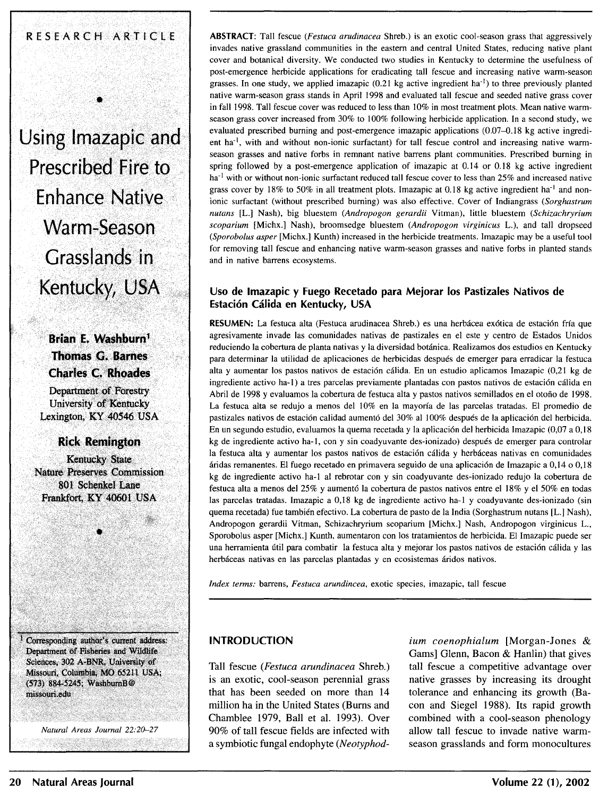# RESEARCH ARTICLE

•

**Using lmazapic and Prescribed Fire to Enhance Native**  Warm-Season **Grasslands in Kentucky, USA** 

> · **Brian E. Wa\$hburn** <sup>1</sup> **Thomas G. Barnes Charles c. ;Rhoades**

Department of Forestry University of Kentucky Lexington, KY 40546 USA

**Rick Remington** 

Kentucky State Nature Preserves Commission 801 Schenkel Lane Frankfort, KY 40601 USA

Corresponding author's current address: Department of Fisheries and Wildlife Sciences, 302 A-BNR, University of Missouri, Columbia, MO 65211 USA; (573) 884-5245; WashburnB@ missouri.edu

*Natural Areas Journal 22:20-27* 

**ABSTRACT:** Tall fescue *(Festuca arudinacea* Shreb.) is an exotic cool-season grass that aggressively invades native grassland communities in the eastern and central United States, reducing native plant cover and botanical diversity. We conducted two studies in Kentucky to determine the usefulness of post-emergence herbicide applications for eradicating tall fescue and increasing native warm-season grasses. In one study, we applied imazapic  $(0.21 \text{ kg}$  active ingredient ha<sup>-1</sup>) to three previously planted native warm-season grass stands in April 1998 and evaluated tall fescue and seeded native grass cover in fall 1998. Tall fescue cover was reduced to less than I 0% in most treatment plots. Mean native warmseason grass cover increased from 30% to 100% following herbicide application. In a second study, we evaluated prescribed burning and post-emergence imazapic applications (0.07-0.18 kg active ingredient ha<sup>-1</sup>, with and without non-ionic surfactant) for tall fescue control and increasing native warmseason grasses and native forbs in remnant native barrens plant communities. Prescribed burning in spring followed by a post-emergence application of imazapic at 0.14 or 0.18 kg active ingredient  $ha^{-1}$  with or without non-ionic surfactant reduced tall fescue cover to less than 25% and increased native grass cover by 18% to 50% in all treatment plots. Imazapic at 0.18 kg active ingredient ha<sup>-1</sup> and nonionic surfactant (without prescribed burning) was also effective. Cover of Indiangrass *(Sorghastrum nutans* [L.] Nash), big bluestem *(Andropogon gerardii* Vitman), little bluestem *(Schizachryrium scoparium* [Michx.] Nash), broomsedge bluestem *(Andropogon virginicus* L.), and tall dropseed *(Sporobolus asper* [Michx.] Kunth) increased in the herbicide treatments. Imazapic may be a useful tool for removing tall fescue and enhancing native warm-season grasses and native forbs in planted stands and in native barrens ecosystems.

### **Uso de lmazapic y Fuego Recetado para Mejorar los Pastizales Nativos de Estacion Calida en Kentucky, USA**

**RESUMEN:** La festuca alta (Festuca arudinacea Shreb.) es una herbácea exótica de estación fría que agresivamente invade las comunidades nativas de pastizales en el este y centro de Estados Unidos reduciendo la cobertura de planta nativas y la diversidad botanica. Realizamos dos estudios en Kentucky para determinar la utilidad de aplicaciones de herbicidas despues de emerger para erradicar la festuca alta y aumentar los pastos nativos de estación cálida. En un estudio aplicamos Imazapic (0,21 kg de ingrediente activo ha-1) a tres parcelas previamente plantadas con pastos nativos de estación cálida en Abril de 1998 y evaluamos la cobertura de festuca alta y pastos nativos semillados en el otofio de 1998. La festuca alta se redujo a menos de! 10% en la mayorfa de las parcelas tratadas. El promedio de pastizales nativos de estación calidad aumentó del 30% al 100% después de la aplicación del herbicida. En un segundo estudio, evaluamos la quema recetada y la aplicación del herbicida Imazapic (0,07 a 0,18 kg de ingrediente activo ha-1, con y sin coadyuvante des-ionizado) después de emerger para controlar la festuca alta y aumentar los pastos nativos de estación cálida y herbáceas nativas en comunidades aridas remanentes. El fuego recetado en primavera seguido de una aplicaci6n de Imazapic a 0,14 o 0,18 kg de ingrediente activo ha-I al rebrotar con y sin coadyuvante des-ionizado redujo la cobertura de festuca alta a menos de! 25% y aument6 la cobertura de pastos nativos entre el 18% y el 50% en todas las parcelas tratadas. Imazapic a 0,18 kg de ingrediente activo ha-I y coadyuvante des-ionizado (sin quema recetada) fue tambien efectivo. La cobertura de pasto de la India (Sorghastrum nutans [L.] Nash), Andropogon gerardii Vitman, Schizachryrium scoparium [Michx.] Nash, Andropogon virginicus L., Sporobolus asper [Michx.] Kunth, aumentaron con los tratamientos de herbicida. El Imazapic puede ser una herramienta útil para combatir la festuca alta y mejorar los pastos nativos de estación cálida y las herbáceas nativas en las parcelas plantadas y en ecosistemas áridos nativos.

*Index terms:* barrens, *Festuca arundincea,* exotic species, imazapic, tall fescue

#### **INTRODUCTION**

Tall fescue *(Festuca arundinacea* Shreb.) is an exotic, cool-season perennial grass that has been seeded on more than 14 million ha in the United States (Bums and Chamblee 1979, Ball et al. 1993). Over 90% of tall fescue fields are infected with a symbiotic fungal endophyte *(Neotyphod-* *ium coenophialum* [Morgan-Jones & Gams] Glenn, Bacon & Hanlin) that gives tall fescue a competitive advantage over native grasses by increasing its drought tolerance and enhancing its growth (Bacon and Siegel 1988). Its rapid growth combined with a cool-season phenology allow tall fescue to invade native warmseason grasslands and form monocultures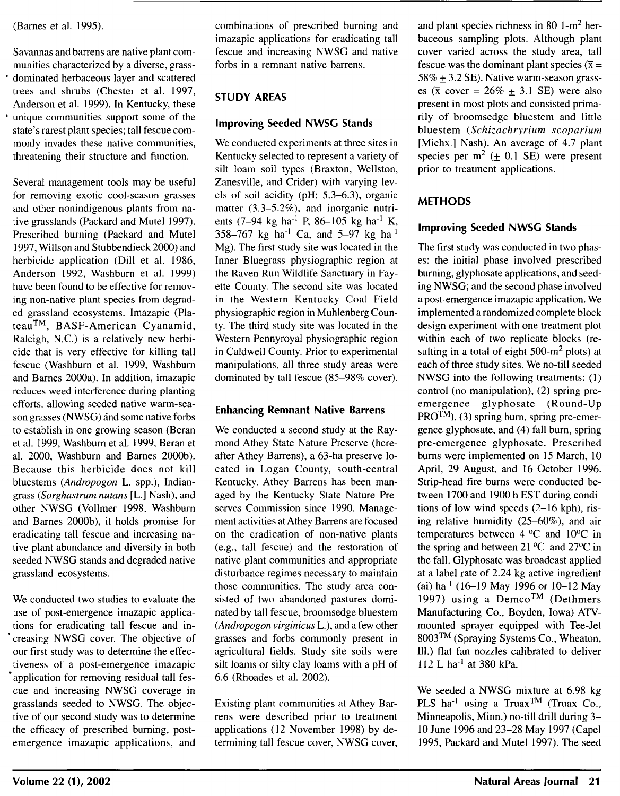#### (Barnes et al. 1995).

Savannas and barrens are native plant communities characterized by a diverse, grass- • dominated herbaceous layer and scattered trees and shrubs (Chester et al. 1997, Anderson et al. 1999). In Kentucky, these unique communities support some of the state's rarest plant species; tall fescue commonly invades these native communities, threatening their structure and function.

Several management tools may be useful for removing exotic cool-season grasses and other nonindigenous plants from native grasslands (Packard and Mutel 1997). Prescribed burning (Packard and Mute] 1997, Willson and Stubbendieck 2000) and herbicide application (Dill et al. 1986, Anderson 1992, Washburn et al. 1999) have been found to be effective for removing non-native plant species from degraded grassland ecosystems. Imazapic (Plateau™, BASF-American Cyanamid, Raleigh, N.C.) is a relatively new herbicide that is very effective for killing tall fescue (Washburn et al. 1999, Washburn and Barnes 2000a). In addition, imazapic reduces weed interference during planting efforts, allowing seeded native warm-season grasses (NWSG) and some native forbs to establish in one growing season (Beran et al. 1999, Washburn et al. 1999, Beran et al. 2000, Washburn and Barnes 2000b). Because this herbicide does not kill bluestems *(Andropogon* L. spp.), Indiangrass *(Sorghastrum nutans* [L.] Nash), and other NWSG (Vollmer 1998, Washburn and Barnes 2000b), it holds promise for eradicating tall fescue and increasing native plant abundance and diversity in both seeded NWSG stands and degraded native grassland ecosystems.

We conducted two studies to evaluate the use of post-emergence imazapic applications for eradicating tall fescue and in- • creasing NWSG cover. The objective of our first study was to determine the effectiveness of a post-emergence imazapic application for removing residual tall fescue and increasing NWSG coverage in grasslands seeded to NWSG. The objective of our second study was to determine the efficacy of prescribed burning, postemergence imazapic applications, and combinations of prescribed burning and imazapic applications for eradicating tall fescue and increasing NWSG and native forbs in a remnant native barrens.

# **STUDY AREAS**

## **Improving Seeded NWSG Stands**

We conducted experiments at three sites in Kentucky selected to represent a variety of silt loam soil types (Braxton, Wellston, Zanesville, and Crider) with varying levels of soil acidity (pH: 5.3-6.3), organic matter  $(3.3-5.2\%)$ , and inorganic nutrients (7–94 kg ha<sup>-1</sup> P, 86–105 kg ha<sup>-1</sup> K, 358-767 kg ha<sup>-1</sup> Ca, and 5-97 kg ha<sup>-1</sup> Mg). The first study site was located in the Inner Bluegrass physiographic region at the Raven Run Wildlife Sanctuary in Fayette County. The second site was located in the Western Kentucky Coal Field physiographic region in Muhlenberg County. The third study site was located in the Western Pennyroyal physiographic region in Caldwell County. Prior to experimental manipulations, all three study areas were dominated by tall fescue (85-98% cover).

### **Enhancing Remnant Native Barrens**

We conducted a second study at the Raymond Athey State Nature Preserve (hereafter Athey Barrens), a 63-ha preserve located in Logan County, south-central Kentucky. Athey Barrens has been managed by the Kentucky State Nature Preserves Commission since 1990. Management activities at Athey Barrens are focused on the eradication of non-native plants (e.g., tall fescue) and the restoration of native plant communities and appropriate disturbance regimes necessary to maintain those communities. The study area consisted of two abandoned pastures dominated by tall fescue, broomsedge bluestem *(Andropogon virginicus* L.), and a few other grasses and forbs commonly present in agricultural fields. Study site soils were silt loams or silty clay loams with a pH of 6.6 (Rhoades et al. 2002).

Existing plant communities at Athey Barrens were described prior to treatment applications (12 November 1998) by determining tall fescue cover, NWSG cover, and plant species richness in 80 l-m2 herbaceous sampling plots. Although plant cover varied across the study area, tall fescue was the dominant plant species ( $\bar{x}$  =  $58\% + 3.2$  SE). Native warm-season grasses ( $\bar{x}$  cover = 26% + 3.1 SE) were also present in most plots and consisted primarily of broomsedge bluestem and little bluestem *(Schizachryrium scoparium*  [Michx.] Nash). An average of 4.7 plant species per  $m^2$  ( $\pm$  0.1 SE) were present prior to treatment applications.

# **METHODS**

# **Improving Seeded NWSG Stands**

The first study was conducted in two phases: the initial phase involved prescribed burning, glyphosate applications, and seeding NWSG; and the second phase involved a post-emergence imazapic application. We implemented a randomized complete block design experiment with one treatment plot within each of two replicate blocks (resulting in a total of eight  $500-m^2$  plots) at each of three study sites. We no-till seeded NWSG into the following treatments: (I) control (no manipulation), (2) spring preemergence glyphosate (Round-Up  $PROTM$ ), (3) spring burn, spring pre-emergence glyphosate, and (4) fall burn, spring pre-emergence glyphosate. Prescribed burns were implemented on 15 March, 10 April, 29 August, and 16 October 1996. Strip-head fire burns were conducted between 1700 and 1900 h EST during conditions of low wind speeds (2-16 kph), rising relative humidity (25-60% ), and air temperatures between  $4 \,^{\circ}\text{C}$  and  $10\,^{\circ}\text{C}$  in the spring and between 21  $^{\circ}$ C and 27 $^{\circ}$ C in the fall. Glyphosate was broadcast applied at a label rate of 2.24 kg active ingredient (ai) ha<sup>-1</sup> (16-19 May 1996 or 10-12 May 1997) using a Demco<sup>TM</sup> (Dethmers Manufacturing Co., Boyden, Iowa) ATVmounted sprayer equipped with Tee-Jet 8003™ (Spraying Systems Co., Wheaton, Ill.) flat fan nozzles calibrated to deliver 112 L ha-I at 380 kPa.

We seeded a NWSG mixture at 6.98 kg PLS ha<sup>-1</sup> using a Truax<sup>TM</sup> (Truax Co., Minneapolis, Minn.) no-till drill during 3-10 June 1996 and 23-28 May 1997 (Capel 1995, Packard and Mutel 1997). The seed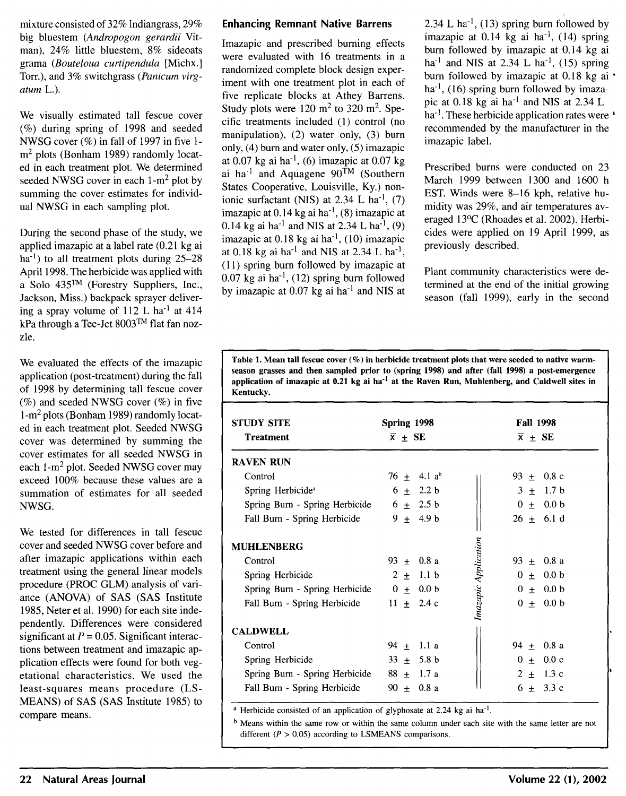mixture consisted of 32% Indiangrass, 29% big bluestem *(Andropogon gerardii* Vitman), 24% little bluestem, 8% sideoats grama *(Bouteloua curtipendula* [Michx.] Torr.), and 3% switchgrass *(Panicum virgatum* L.).

We visually estimated tall fescue cover (%) during spring of 1998 and seeded NWSG cover (%) in fall of 1997 in five 1m<sup>2</sup> plots (Bonham 1989) randomly located in each treatment plot. We determined seeded NWSG cover in each  $1-m^2$  plot by summing the cover estimates for individual NWSG in each sampling plot.

During the second phase of the study, we applied imazapic at a label rate (0.21 kg ai  $ha^{-1}$ ) to all treatment plots during 25–28 April 1998. The herbicide was applied with a Solo 435™ (Forestry Suppliers, Inc., Jackson, Miss.) backpack sprayer delivering a spray volume of  $112$  L ha<sup>-1</sup> at  $414$ kPa through a Tee-Jet 8003™ flat fan nozzle.

We evaluated the effects of the imazapic application (post-treatment) during the fall of 1998 by determining tall fescue cover  $(\%)$  and seeded NWSG cover  $(\%)$  in five l-m2 plots (Bonham 1989) randomly located in each treatment plot. Seeded NWSG cover was determined by summing the cover estimates for all seeded NWSG in each 1-m<sup>2</sup> plot. Seeded NWSG cover may exceed 100% because these values are a summation of estimates for all seeded NWSG.

We tested for differences in tall fescue cover and seeded NWSG cover before and after imazapic applications within each treatment using the general linear models procedure (PROC GLM) analysis of variance (ANOVA) of SAS (SAS Institute 1985, Neter et al. 1990) for each site independently. Differences were considered significant at  $P = 0.05$ . Significant interactions between treatment and imazapic application effects were found for both vegetational characteristics. We used the least-squares means procedure (LS-MEANS) of SAS (SAS Institute 1985) to compare means.

#### Enhancing Remnant Native Barrens

Imazapic and prescribed burning effects were evaluated with 16 treatments in a randomized complete block design experiment with one treatment plot in each of five replicate blocks at Athey Barrens. Study plots were  $120 \text{ m}^2$  to  $320 \text{ m}^2$ . Specific treatments included (1) control (no manipulation), (2) water only, (3) bum only, (4) bum and water only, (5) imazapic at  $0.07$  kg ai ha<sup>-1</sup>, (6) imazapic at  $0.07$  kg ai ha<sup>-1</sup> and Aquagene  $90^{\text{TM}}$  (Southern States Cooperative, Louisville, Ky.) nonionic surfactant (NIS) at  $2.34$  L ha<sup>-1</sup>, (7) imazapic at  $0.14$  kg ai ha<sup>-1</sup>, (8) imazapic at 0.14 kg ai ha<sup>-1</sup> and NIS at 2.34 L ha<sup>-1</sup>, (9) imazapic at  $0.18$  kg ai ha<sup>-1</sup>, (10) imazapic at 0.18 kg ai ha<sup>-1</sup> and NIS at 2.34 L ha<sup>-1</sup>, ( 11) spring burn followed by imazapic at  $0.07$  kg ai ha<sup>-1</sup>, (12) spring burn followed by imazapic at 0.07 kg ai ha<sup>-1</sup> and NIS at

2.34 L ha<sup>-1</sup>, (13) spring burn followed by imazapic at  $0.14$  kg ai ha<sup>-1</sup>, (14) spring burn followed by imazapic at 0.14 kg ai ha<sup>-1</sup> and NIS at 2.34 L ha<sup>-1</sup>, (15) spring burn followed by imazapic at 0.18 kg ai •  $ha^{-1}$ , (16) spring burn followed by imazapic at 0.18 kg ai  $ha^{-1}$  and NIS at 2.34 L ha<sup>-1</sup>. These herbicide application rates were ' recommended by the manufacturer in the imazapic label.

Prescribed burns were conducted on 23 March 1999 between 1300 and 1600 h EST. Winds were 8-16 kph, relative humidity was 29%, and air temperatures averaged 13°C (Rhoades et al. 2002). Herbicides were applied on 19 April 1999, as previously described.

Plant community characteristics were determined at the end of the initial growing season (fall 1999), early in the second

Table 1. Mean tall fescue cover (%) in herbicide treatment plots that were seeded to native warmseason grasses and then sampled prior to (spring 1998) and after (fall 1998) a post-emergence application of imazapic at  $0.21$  kg ai ha<sup>-1</sup> at the Raven Run, Muhlenberg, and Caldwell sites in Kentucky.

| <b>STUDY SITE</b>                            | Spring 1998            | <b>Fall 1998</b>                    |
|----------------------------------------------|------------------------|-------------------------------------|
| <b>Treatment</b>                             | $\overline{x}$ + SE    | $\overline{x}$ + SE                 |
| <b>RAVEN RUN</b>                             |                        |                                     |
| Control                                      | $76 + 4.1 ab$          | 93 $\pm$ 0.8 c                      |
| Spring Herbicide <sup>a</sup>                | $6 \pm 2.2 \text{ b}$  | $3 \pm 1.7$ b                       |
| Spring Burn - Spring Herbicide $6 \pm 2.5$ b |                        | $0 + 0.0 b$                         |
| Fall Burn - Spring Herbicide 9 $\pm$ 4.9 b   |                        | $26 \pm 6.1 \text{ d}$              |
| <b>MUHLENBERG</b>                            |                        |                                     |
| Control                                      | $93 + 0.8$ a           | 93 $\pm$ 0.8 a                      |
| Spring Herbicide                             | $2 \pm 1.1 \text{ b}$  | $0 \pm 0.0 \text{ b}$               |
| Spring Burn - Spring Herbicide $0 \pm 0.0$ b |                        | $0 + 0.0 b$                         |
| Fall Burn - Spring Herbicide 11 $\pm$ 2.4 c  |                        | Imazapic Application<br>$0 + 0.0 b$ |
| <b>CALDWELL</b>                              |                        |                                     |
| Control                                      | $94 \pm 1.1 \text{ a}$ | $94 \pm 0.8$ a                      |
| Spring Herbicide                             | $33 + 5.8$ b           | $0 \pm 0.0 \text{ c}$               |
| Spring Burn - Spring Herbicide $88 + 1.7$ a  |                        | $2 \pm 1.3$ c                       |
| Fall Burn - Spring Herbicide                 | $90 \pm 0.8$ a         | $6 \pm 3.3 \text{ c}$               |

<sup>a</sup> Herbicide consisted of an application of glyphosate at 2.24 kg ai ha<sup>-1</sup>.

b Means within the same row or within the same column under each site with the same letter are not different ( $P > 0.05$ ) according to LSMEANS comparisons.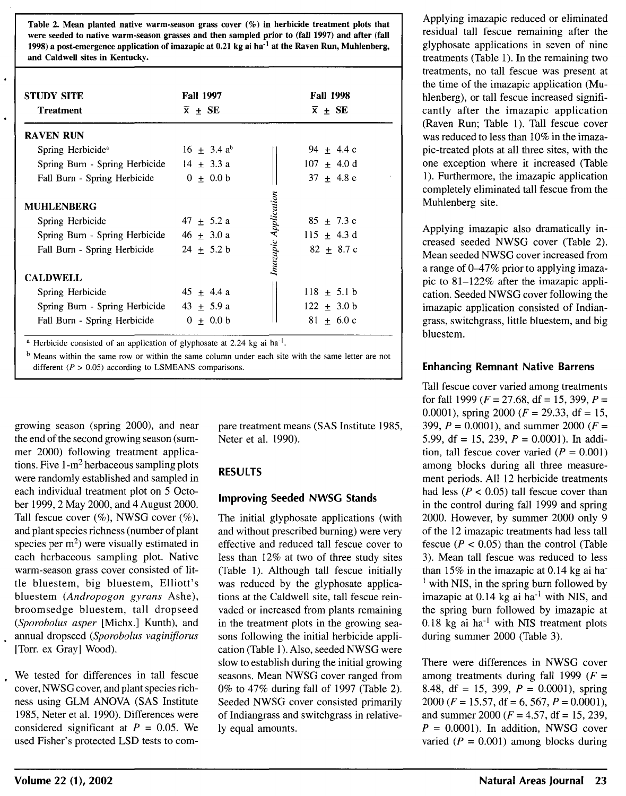Table 2. Mean planted native warm-season grass cover (%) in herbicide treatment plots that were seeded to native warm-season grasses and then sampled prior to (fall 1997) and after (fall 1998) a post-emergence application of imazapic at  $0.21$  kg ai ha<sup>-1</sup> at the Raven Run, Muhlenberg, and Caldwell sites in Kentucky.

| <b>STUDY SITE</b><br><b>Treatment</b>                                                                                      | <b>Fall 1997</b><br>$\bar{x}$ + SE                 | <b>Fall 1998</b><br>$\bar{x}$ + SE                                       |
|----------------------------------------------------------------------------------------------------------------------------|----------------------------------------------------|--------------------------------------------------------------------------|
| <b>RAVEN RUN</b>                                                                                                           |                                                    |                                                                          |
| Spring Herbicide <sup>a</sup>                                                                                              | $16 + 3.4 a^{6}$                                   | $94 + 4.4c$                                                              |
| Spring Burn - Spring Herbicide $14 \pm 3.3$ a                                                                              |                                                    | $107 \pm 4.0 \text{ d}$                                                  |
| Fall Burn - Spring Herbicide                                                                                               | $0 + 0.0 b$                                        | $37 + 4.8 e$                                                             |
| <b>MUHLENBERG</b><br>Spring Herbicide<br>Spring Burn - Spring Herbicide<br>Fall Burn - Spring Herbicide<br><b>CALDWELL</b> | $47 \pm 5.2$ a<br>$46 \pm 3.0 a$<br>$24 \pm 5.2$ b | Imazapic Application<br>$85 + 7.3c$<br>115 $\pm$ 4.3 d<br>$82 \pm 8.7$ c |
| Spring Herbicide<br>Spring Burn - Spring Herbicide 43 $\pm$ 5.9 a<br>Fall Burn - Spring Herbicide                          | $45 \pm 4.4 \text{ a}$<br>$0 + 0.0 b$              | $118 \pm 5.1$ b<br>$122 + 3.0 b$<br>$81 + 6.0c$                          |

<sup>a</sup> Herbicide consisted of an application of glyphosate at 2.24 kg ai ha<sup>-1</sup>.

b Means within the same row or within the same column under each site with the same letter are not different ( $P > 0.05$ ) according to LSMEANS comparisons.

growing season (spring 2000), and near the end of the second growing season (summer 2000) following treatment applications. Five  $1-m^2$  herbaceous sampling plots were randomly established and sampled in each individual treatment plot on 5 October 1999, 2 May 2000, and 4 August 2000. Tall fescue cover  $(\%)$ , NWSG cover  $(\%)$ , and plant species richness (number of plant species per  $m<sup>2</sup>$ ) were visually estimated in each herbaceous sampling plot. Native warm-season grass cover consisted of little bluestem, big bluestem, Elliott's bluestem *(Andropogon gyrans* Ashe), broomsedge bluestem, tall dropseed *(Sporobolus asper* [Michx.] Kunth), and annual dropseed *(Sporobolus vaginiflorus*  [Torr. ex Gray] Wood).

We tested for differences in tall fescue cover, NWSG cover, and plant species richness using OLM ANOVA (SAS Institute 1985, Neter et al. 1990). Differences were considered significant at  $P = 0.05$ . We used Fisher's protected LSD tests to com-

pare treatment means (SAS Institute 1985, Neter et al. 1990).

#### RESULTS

#### Improving Seeded NWSG Stands

The initial glyphosate applications (with and without prescribed burning) were very effective and reduced tall fescue cover to less than 12% at two of three study sites (Table 1). Although tall fescue initially was reduced by the glyphosate applications at the Caldwell site, tall fescue reinvaded or increased from plants remaining in the treatment plots in the growing seasons following the initial herbicide application (Table I). Also, seeded NWSG were slow to establish during the initial growing seasons. Mean NWSG cover ranged from 0% to 47% during fall of 1997 (Table 2). Seeded NWSG cover consisted primarily of Indiangrass and switchgrass in relatively equal amounts.

Applying imazapic reduced or eliminated residual tall fescue remaining after the glyphosate applications in seven of nine treatments (Table 1). In the remaining two treatments, no tall fescue was present at the time of the imazapic application (Muhlenberg), or tall fescue increased significantly after the imazapic application (Raven Run; Table 1). Tall fescue cover was reduced to less than 10% in the imazapic-treated plots at all three sites, with the one exception where it increased (Table 1 ). Furthermore, the imazapic application completely eliminated tall fescue from the Muhlenberg site.

Applying imazapic also dramatically increased seeded NWSG cover (Table 2) . Mean seeded NWSG cover increased from a range of 0-47% prior to applying imazapic to 81-122% after the imazapic application. Seeded NWSG cover following the imazapic application consisted of Indiangrass, switchgrass, little bluestem, and big bluestem.

#### Enhancing Remnant Native Barrens

Tall fescue cover varied among treatments for fall 1999 ( $F = 27.68$ , df = 15, 399,  $P =$ 0.0001), spring 2000 ( $F = 29.33$ , df = 15, 399,  $P = 0.0001$ ), and summer 2000 ( $F =$ 5.99, df = 15, 239,  $P = 0.0001$ ). In addition, tall fescue cover varied ( $P = 0.001$ ) among blocks during all three measurement periods. All 12 herbicide treatments had less ( $P < 0.05$ ) tall fescue cover than in the control during fall 1999 and spring 2000. However, by summer 2000 only 9 of the 12 imazapic treatments had less tall fescue ( $P < 0.05$ ) than the control (Table 3). Mean tall fescue was reduced to less than 15% in the imazapic at 0.14 kg ai ha·  $<sup>1</sup>$  with NIS, in the spring burn followed by</sup> imazapic at  $0.14$  kg ai ha<sup>-1</sup> with NIS, and the spring burn followed by imazapic at  $0.18$  kg ai ha<sup>-1</sup> with NIS treatment plots during summer 2000 (Table 3).

There were differences in NWSG cover among treatments during fall 1999 ( $F =$ 8.48, df = 15, 399,  $P = 0.0001$ ), spring 2000 ( $F = 15.57$ , df = 6, 567,  $P = 0.0001$ ), and summer 2000 ( $F = 4.57$ , df = 15, 239,  $P = 0.0001$ ). In addition, NWSG cover varied ( $P = 0.001$ ) among blocks during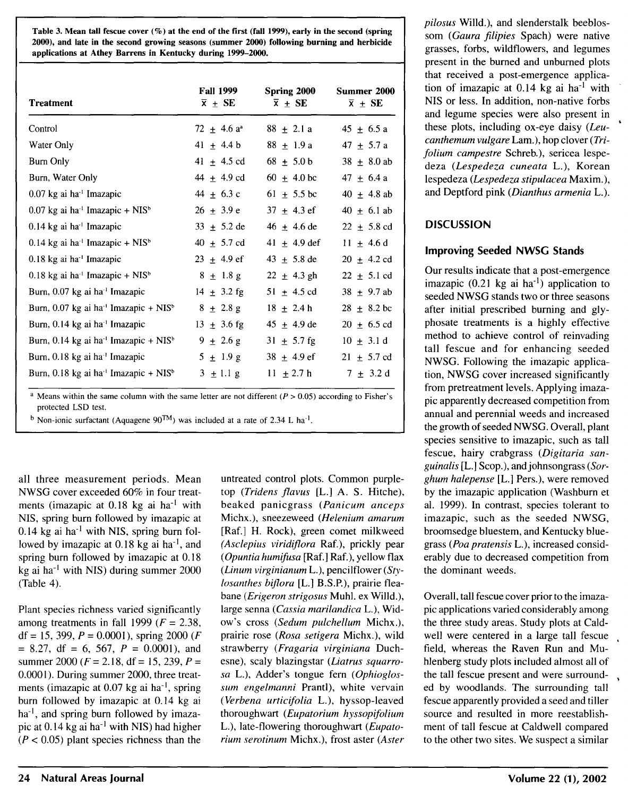Table 3. Mean tall fescue cover  $(\%)$  at the end of the first (fall 1999), early in the second (spring 2000), and late in the second growing seasons (summer 2000) following burning and herbicide applications at Athey Barrens in Kentucky during 1999-2000.

| <b>Treatment</b>                                              | <b>Fall 1999</b><br>$\overline{x}$ + SE | Spring 2000<br>$\bar{x}$ + SE | Summer 2000<br>$\overline{x}$ + SE |
|---------------------------------------------------------------|-----------------------------------------|-------------------------------|------------------------------------|
| Control                                                       | $72 + 4.6 a^2$                          | $88 + 2.1 a$                  | $45 \pm 6.5 a$                     |
| Water Only                                                    | $41 \pm 4.4$ b                          | $88 + 1.9a$                   | $47 + 5.7 a$                       |
| Burn Only                                                     | $41 \pm 4.5$ cd                         | $68 \pm 5.0 b$                | $38 \pm 8.0$ ab                    |
| Burn, Water Only                                              | 44 $\pm$ 4.9 cd                         | $60 \pm 4.0 \text{ bc}$       | 47 $\pm$ 6.4 a                     |
| $0.07$ kg ai ha <sup>-1</sup> Imazapic                        | $44 \pm 6.3$ c                          | 61 $\pm$ 5.5 bc               | $40 + 4.8$ ab                      |
| $0.07$ kg ai ha <sup>-1</sup> Imazapic + NIS <sup>b</sup>     | $26 \pm 3.9 e$                          | $37 \pm 4.3$ ef               | $40 \pm 6.1$ ab                    |
| $0.14 \text{ kg}$ ai ha <sup>-1</sup> Imazapic                | $33 \pm 5.2$ de                         | $46 \pm 4.6$ de               | $22 \pm 5.8$ cd                    |
| $0.14$ kg ai ha <sup>-1</sup> Imazapic + NIS <sup>b</sup>     | $40 \pm 5.7 \text{ cd}$                 | 41 $\pm$ 4.9 def              | $11 + 4.6$ d                       |
| 0.18 kg ai ha <sup>-1</sup> Imazapic                          | $23 + 4.9$ ef                           | 43 $\pm$ 5.8 de               | $20 \pm 4.2 \text{ cd}$            |
| $0.18$ kg ai ha <sup>-1</sup> Imazapic + NIS <sup>b</sup>     | $8 \pm 1.8$ g                           | $22 \pm 4.3$ gh               | $22 \pm 5.1$ cd                    |
| Burn, 0.07 kg ai ha <sup>-1</sup> Imazapic                    | $14 \pm 3.2$ fg                         | 51 $\pm$ 4.5 cd               | $38 + 9.7$ ab                      |
| Burn, 0.07 kg ai ha <sup>-1</sup> Imazapic + $NIS^b$          | $8 \pm 2.8$ g                           | $18 + 2.4 h$                  | $28 \pm 8.2$ bc                    |
| Burn, 0.14 kg ai ha <sup>-1</sup> Imazapic                    | $13 \pm 3.6$ fg                         | $45 \pm 4.9$ de               | $20 \pm 6.5$ cd                    |
| Burn, 0.14 kg ai ha <sup>-1</sup> Imazapic + NIS <sup>b</sup> | $9 \pm 2.6$ g                           | $31 + 5.7$ fg                 | $10 \pm 3.1 \text{ d}$             |
| Burn, 0.18 kg ai ha <sup>-1</sup> Imazapic                    | $5 \pm 1.9 \text{ g}$                   | $38 \pm 4.9$ ef               | $21 \pm 5.7$ cd                    |
| Burn, 0.18 kg ai ha <sup>-1</sup> Imazapic + $NISb$           | $3 \pm 1.1$ g                           | $11 \pm 2.7$ h                | $7 \pm 3.2 \text{ d}$              |

<sup>a</sup> Means within the same column with the same letter are not different ( $P > 0.05$ ) according to Fisher's protected LSD test.

<sup>b</sup> Non-ionic surfactant (Aquagene  $90^{TM}$ ) was included at a rate of 2.34 L ha<sup>-1</sup>.

all three measurement periods. Mean NWSG cover exceeded 60% in four treatments (imazapic at  $0.18$  kg ai ha<sup>-1</sup> with NIS, spring bum followed by imazapic at  $0.14$  kg ai ha<sup>-1</sup> with NIS, spring burn followed by imazapic at  $0.18$  kg ai ha<sup>-1</sup>, and spring bum followed by imazapic at 0.18 kg ai ha<sup>-1</sup> with NIS) during summer  $2000$ (Table 4).

Plant species richness varied significantly among treatments in fall 1999 ( $F = 2.38$ , df = 15, 399,  $P = 0.0001$ ), spring 2000 (*F*  $= 8.27$ , df  $= 6$ , 567,  $P = 0.0001$ ), and summer 2000 ( $F = 2.18$ , df = 15, 239,  $P =$ 0.0001). During summer 2000, three treatments (imazapic at  $0.07$  kg ai ha<sup>-1</sup>, spring bum followed by imazapic at 0.14 kg ai  $ha^{-1}$ , and spring burn followed by imazapic at  $0.14$  kg ai ha<sup>-1</sup> with NIS) had higher  $(P < 0.05)$  plant species richness than the

untreated control plots. Common purpletop *(Tridens fiavus* [L.] A. S. Hitche), beaked panicgrass *(Panicum anceps*  Michx.), sneezeweed *(Helenium amarum*  [Raf.] H. Rock), green comet milkweed *(Asclepius viridifiora* Raf.), prickly pear ( *Opuntia humifusa* [Raf.] Raf.), yellow flax *(Linum virginianum* L.), pencilflower *(Stylosanthes biflora* [L.] B.S.P.), prairie fleabane *(Erigeron strigosus* Muhl. ex Willd.), large senna *(Cassia marilandica* L.), Widow's cross *(Sedum pulchellum* Michx.), prairie rose *(Rosa setigera* Michx.), wild strawberry *(Fragaria virginiana* Duchesne), scaly blazingstar *(Liatrus squarrosa* L.), Adder's tongue fem *(Ophioglossum engelmanni* Prantl), white vervain *(Verbena urticifolia* L.), hyssop-leaved thoroughwart *(Eupatorium hyssopifolium*  L.), late-flowering thoroughwart *(Eupatorium serotinum* Michx.), frost aster *(Aster* 

*pilosus* Willd.), and slenderstalk beeblossom *(Gaura filipies* Spach) were native grasses, forbs, wildflowers, and legumes present in the burned and unburned plots that received a post-emergence application of imazapic at  $0.14$  kg ai ha<sup>-1</sup> with NIS or less. In addition, non-native forbs and legume species were also present in these plots, including ox-eye daisy *(Leucanthemum vulgare* Lam.), hop clover *(Trifolium campestre* Schreb.), sericea lespedeza *(Lespedeza cuneata* L.), Korean lespedeza *(Lespedeza stipulacea* Maxim.), and Deptford pink *(Dianthus armenia* L.).

### **DISCUSSION**

### Improving Seeded NWSG Stands

Our results indicate that a post-emergence imazapic  $(0.21 \text{ kg} \text{ai} \text{ha}^{-1})$  application to seeded NWSG stands two or three seasons after initial prescribed burning and glyphosate treatments is a highly effective method to achieve control of reinvading tall fescue and for enhancing seeded NWSG. Following the imazapic application, NWSG cover increased significantly from pretreatment levels. Applying imazapic apparently decreased competition from annual and perennial weeds and increased the growth of seeded NWSG. Overall, plant species sensitive to imazapic, such as tall fescue, hairy crabgrass *(Digitaria sanguinalis* [L.] Scop.), andjohnsongrass *(Sorghum halepense* [L.] Pers.), were removed by the imazapic application (Washburn et al. 1999). In contrast, species tolerant to imazapic, such as the seeded NWSG, broomsedge bluestem, and Kentucky bluegrass *(Poa pratensis* L.), increased considerably due to decreased competition from the dominant weeds.

Overall, tall fescue cover prior to the imazapic applications varied considerably among the three study areas. Study plots at Caldwell were centered in a large tall fescue field, whereas the Raven Run and Muhlenberg study plots included almost all of the tall fescue present and were surrounded by woodlands. The surrounding tall fescue apparently provided a seed and tiller source and resulted in more reestablishment of tall fescue at Caldwell compared to the other two sites. We suspect a similar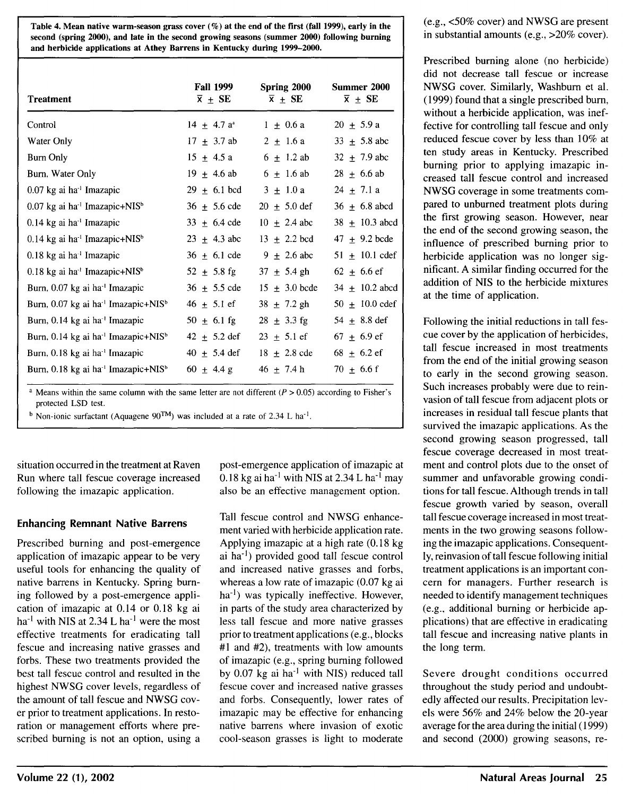Table 4. Mean native warm-season grass cover  $(\%)$  at the end of the first (fall 1999), early in the second (spring 2000), and late in the second growing seasons (summer 2000) following burning and herbicide applications at Athey Barrens in Kentucky during 1999-2000.

| <b>Treatment</b>                                            | <b>Fall 1999</b><br>$\overline{x}$ $\pm$ SE | Spring 2000<br>$\overline{x}$ + SE | Summer 2000<br>$\overline{x}$ + SE |
|-------------------------------------------------------------|---------------------------------------------|------------------------------------|------------------------------------|
| Control                                                     | $14 \pm 4.7 a^{a}$                          | $1 + 0.6a$                         | $20 \pm 5.9 a$                     |
| Water Only                                                  | $17 \pm 3.7$ ab                             | $2 \pm 1.6$ a                      | $33 \pm 5.8$ abc                   |
| Burn Only                                                   | $15 \pm 4.5a$                               | $6 \pm 1.2$ ab                     | $32 \pm 7.9$ abc                   |
| Burn, Water Only                                            | $19 \pm 4.6$ ab                             | $6 + 1.6$ ab                       | $28 \pm 6.6$ ab                    |
| $0.07$ kg ai ha <sup>-1</sup> Imazapic                      | $29 \pm 6.1$ bcd                            | $3 \pm 1.0 \text{ a}$              | $24 \pm 7.1$ a                     |
| $0.07$ kg ai ha <sup>-1</sup> Imazapic+NIS <sup>b</sup>     | $36 \pm 5.6$ cde                            | $20 \pm 5.0$ def                   | $36 + 6.8$ abcd                    |
| $0.14$ kg ai ha <sup>-1</sup> Imazapic                      | $33 \pm 6.4$ cde                            | $10 \pm 2.4$ abc                   | $38 \pm 10.3$ abcd                 |
| $0.14$ kg ai ha <sup>-1</sup> Imazapic+NIS <sup>b</sup>     | $23 \pm 4.3$ abc                            | $13 \pm 2.2$ bcd                   | $47 \pm 9.2$ bcde                  |
| $0.18$ kg ai ha <sup>-1</sup> Imazapic                      | $36 + 6.1$ cde                              | $9 + 2.6$ abc                      | $51 + 10.1$ cdef                   |
| $0.18$ kg ai ha <sup>-1</sup> Imazapic+NIS <sup>b</sup>     | $52 \pm 5.8$ fg                             | $37 \pm 5.4$ gh                    | $62 \pm 6.6$ ef                    |
| Burn, 0.07 kg ai ha <sup>-1</sup> Imazapic                  | $36 \pm 5.5$ cde                            | $15 + 3.0$ bcde                    | $34 \pm 10.2$ abcd                 |
| Burn, 0.07 kg ai ha <sup>-1</sup> Imazapic+NIS <sup>b</sup> | $46 \pm 5.1$ ef                             | $38 \pm 7.2$ gh                    | $50 \pm 10.0$ cdef                 |
| Burn, 0.14 kg ai ha <sup>-1</sup> Imazapic                  | $50 \pm 6.1$ fg                             | $28 \pm 3.3$ fg                    | $54 \pm 8.8$ def                   |
| Burn, 0.14 kg ai ha <sup>-1</sup> Imazapic+NIS <sup>b</sup> | $42 \pm 5.2$ def                            | $23 \pm 5.1$ ef                    | $67 \pm 6.9$ ef                    |
| Burn, 0.18 kg ai ha <sup>-1</sup> Imazapic                  | $40 \pm 5.4$ def                            | $18 \pm 2.8$ cde                   | 68 $\pm$ 6.2 ef                    |
| Burn, 0.18 kg ai ha <sup>-1</sup> Imazapic+NIS <sup>b</sup> | $60 \pm 4.4 \text{ g}$                      | $46 + 7.4 h$                       | $70 \pm 6.6$ f                     |

<sup>a</sup> Means within the same column with the same letter are not different  $(P > 0.05)$  according to Fisher's protected LSD test.

<sup>b</sup> Non-ionic surfactant (Aquagene  $90^{TM}$ ) was included at a rate of 2.34 L ha<sup>-1</sup>.

situation occurred in the treatment at Raven Run where tall fescue coverage increased following the imazapic application.

### Enhancing Remnant Native Barrens

Prescribed burning and post-emergence application of imazapic appear to be very useful tools for enhancing the quality of native barrens in Kentucky. Spring burning followed by a post-emergence application of imazapic at 0.14 or 0.18 kg ai ha<sup>-1</sup> with NIS at 2.34 L ha<sup>-1</sup> were the most effective treatments for eradicating tall fescue and increasing native grasses and forbs. These two treatments provided the best tall fescue control and resulted in the highest NWSG cover levels, regardless of the amount of tall fescue and NWSG cover prior to treatment applications. In restoration or management efforts where prescribed burning is not an option, using a

post-emergence application of imazapic at  $0.18$  kg ai ha<sup>-1</sup> with NIS at 2.34 L ha<sup>-1</sup> may also be an effective management option.

Tall fescue control and NWSG enhancement varied with herbicide application rate. Applying imazapic at a high rate (0.18 kg ai ha-I) provided good tall fescue control and increased native grasses and forbs, whereas a low rate of imazapic (0.07 kg ai ha<sup>-1</sup>) was typically ineffective. However, in parts of the study area characterized by less tall fescue and more native grasses prior to treatment applications (e.g., blocks #1 and #2), treatments with low amounts of imazapic (e.g., spring burning followed by  $0.07$  kg ai ha<sup>-1</sup> with NIS) reduced tall feseue cover and increased native grasses and forbs. Consequently, lower rates of imazapic may be effective for enhancing native barrens where invasion of exotic cool-season grasses is light to moderate

(e.g., <50% cover) and NWSG are present in substantial amounts (e.g., >20% cover).

Prescribed burning alone (no herbicide) did not decrease tall fescue or increase NWSG cover. Similarly, Washburn et al. (1999) found that a single prescribed burn, without a herbicide application, was ineffective for controlling tall fescue and only reduced fescue cover by less than 10% at ten study areas in Kentucky. Prescribed burning prior to applying imazapic increased tall fescue control and increased NWSG coverage in some treatments compared to unburned treatment plots during the first growing season. However, near the end of the second growing season, the influence of prescribed burning prior to herbicide application was no longer significant. A similar finding occurred for the addition of NIS to the herbicide mixtures at the time of application.

Following the initial reductions in tall fescue cover by the application of herbicides, tall fescue increased in most treatments from the end of the initial growing season to early in the second growing season. Such increases probably were due to reinvasion of tall fescue from adjacent plots or increases in residual tall fescue plants that survived the imazapic applications. As the second growing season progressed, tall fescue coverage decreased in most treatment and control plots due to the onset of summer and unfavorable growing conditions for tall fescue. Although trends in tall fescue growth varied by season, overall tall fescue coverage increased in most treatments in the two growing seasons following the imazapic applications. Consequently, reinvasion of tall fescue following initial treatment applications is an important concern for managers. Further research is needed to identify management techniques (e.g., additional burning or herbicide applications) that are effective in eradicating tall fescue and increasing native plants in the long term.

Severe drought conditions occurred throughout the study period and undoubtedly affected our results. Precipitation levels were 56% and 24% below the 20-year average for the area during the initial ( 1999) and second (2000) growing seasons, re-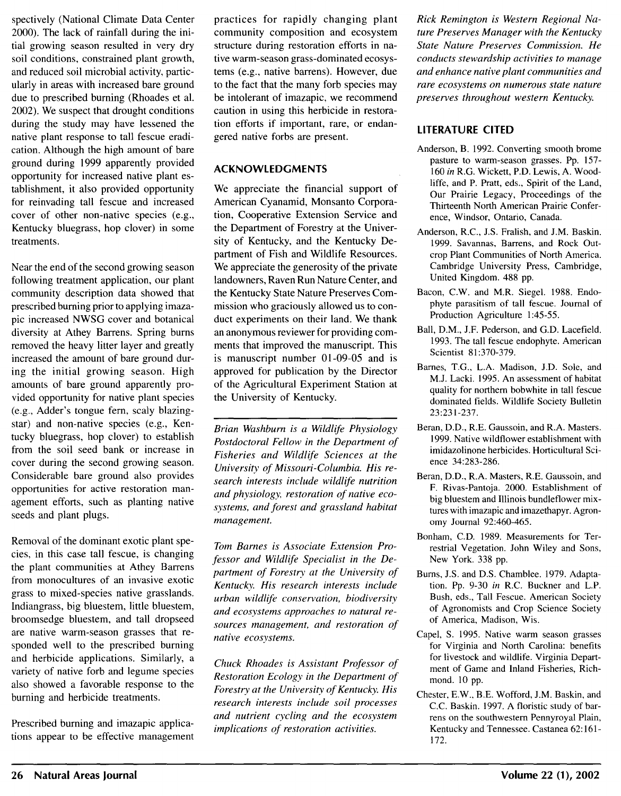spectively (National Climate Data Center 2000). The lack of rainfall during the initial growing season resulted in very dry soil conditions, constrained plant growth, and reduced soil microbial activity, particularly in areas with increased bare ground due to prescribed burning (Rhoades et al. 2002). We suspect that drought conditions during the study may have lessened the native plant response to tall fescue eradication. Although the high amount of bare ground during 1999 apparently provided opportunity for increased native plant establishment, it also provided opportunity for reinvading tall fescue and increased cover of other non-native species (e.g., Kentucky bluegrass, hop clover) in some treatments.

Near the end of the second growing season following treatment application, our plant community description data showed that prescribed burning prior to applying imazapic increased NWSG cover and botanical diversity at Athey Barrens. Spring burns removed the heavy litter layer and greatly increased the amount of bare ground during the initial growing season. High amounts of bare ground apparently provided opportunity for native plant species (e.g., Adder's tongue fem, scaly blazingstar) and non-native species (e.g., Kentucky bluegrass, hop clover) to establish from the soil seed bank or increase in cover during the second growing season. Considerable bare ground also provides opportunities for active restoration management efforts, such as planting native seeds and plant plugs.

Removal of the dominant exotic plant species, in this case tall fescue, is changing the plant communities at Athey Barrens from monocultures of an invasive exotic grass to mixed-species native grasslands. lndiangrass, big bluestem, little bluestem, broomsedge bluestem, and tall dropseed are native warm-season grasses that responded well to the prescribed burning and herbicide applications. Similarly, a variety of native forb and legume species also showed a favorable response to the burning and herbicide treatments.

Prescribed burning and imazapic applications appear to be effective management

practices for rapidly changing plant community composition and ecosystem structure during restoration efforts in native warm-season grass-dominated ecosystems (e.g., native barrens). However, due to the fact that the many forb species may be intolerant of imazapic, we recommend caution in using this herbicide in restoration efforts if important, rare, or endangered native forbs are present.

## **ACKNOWLEDGMENTS**

We appreciate the financial support of American Cyanamid, Monsanto Corporation, Cooperative Extension Service and the Department of Forestry at the University of Kentucky, and the Kentucky Department of Fish and Wildlife Resources. We appreciate the generosity of the private landowners, Raven Run Nature Center, and the Kentucky State Nature Preserves Commission who graciously allowed us to conduct experiments on their land. We thank an anonymous reviewer for providing comments that improved the manuscript. This is manuscript number 01-09-05 and is approved for publication by the Director of the Agricultural Experiment Station at the University of Kentucky.

*Brian Washburn is a Wildlife Physiology Postdoctoral Fellow in the Department of Fisheries and Wildlife Sciences at the University of Missouri-Columbia. His research interests include wildlife nutrition and physiology, restoration of native ecosystems, and forest and grassland habitat management.* 

*Tom Barnes is Associate Extension Professor and Wildlife Specialist in the Department of Forestry at the University of Kentucky. His research interests include urban wildlife conservation, biodiversity and ecosystems approaches to natural resources management, and restoration of native ecosystems.* 

*Chuck Rhoades is Assistant Professor of Restoration Ecology in the Department of Forestry at the University of Kentucky. His research interests include soil processes and nutrient cycling and the ecosystem implications of restoration activities.* 

*Rick Remington is Western Regional Nature Preserves Manager with the Kentucky State Nature Preserves Commission. He conducts stewardship activities to manage and enhance native plant communities and rare ecosystems on numerous state nature preserves throughout western Kentucky.* 

# **LITERATURE CITED**

- Anderson, B. 1992. Converting smooth brome pasture to warm-season grasses. Pp. 157- 160 *in* R.G. Wickett, P.O. Lewis, A. Woodliffe, and P. Pratt, eds., Spirit of the Land, Our Prairie Legacy, Proceedings of the Thirteenth North American Prairie Conference, Windsor, Ontario, Canada.
- Anderson, R.C., J.S. Fralish, and J.M. Baskin. 1999. Savannas, Barrens, and Rock Outcrop Plant Communities of North America. Cambridge University Press, Cambridge, United Kingdom. 488 pp.
- Bacon, C.W. and M.R. Siegel. 1988. Endophyte parasitism of tall fescue. Journal of Production Agriculture 1:45-55.
- Ball, D.M., J.F. Pederson, and G.D. Lacefield. 1993. The tall fescue endophyte. American Scientist 81 :370-379.
- Barnes, T.G., L.A. Madison, J.D. Sole, and M.J. Lacki. 1995. An assessment of habitat quality for northern bobwhite in tall fescue dominated fields. Wildlife Society Bulletin 23:231-237.
- Beran, D.D., R.E. Gaussoin, and R.A. Masters. 1999. Native wildflower establishment with imidazolinone herbicides. Horticultural Science 34:283-286.
- Beran, D.D., R.A. Masters, R.E. Gaussoin, and F. Rivas-Pantoja. 2000. Establishment of big bluestem and Illinois bundleflower mixtures with imazapic and imazethapyr. Agronomy Journal 92:460-465.
- Bonham, C.D. 1989. Measurements for Terrestrial Vegetation. John Wiley and Sons, New York. 338 pp.
- Bums, J.S. and D.S. Chamblee. 1979. Adaptation. Pp. 9-30 *in* R.C. Buckner and L.P. Bush, eds., Tall Fescue. American Society of Agronomists and Crop Science Society of America, Madison, Wis.
- Capel, S. 1995. Native warm season grasses for Virginia and North Carolina: benefits for livestock and wildlife. Virginia Department of Game and Inland Fisheries, Richmond. 10 pp.
- Chester, E.W., B.E. Wofford, J.M. Baskin, and C.C. Baskin. 1997. A floristic study of barrens on the southwestern Pennyroyal Plain, Kentucky and Tennessee. Castanea 62: 161- 172.